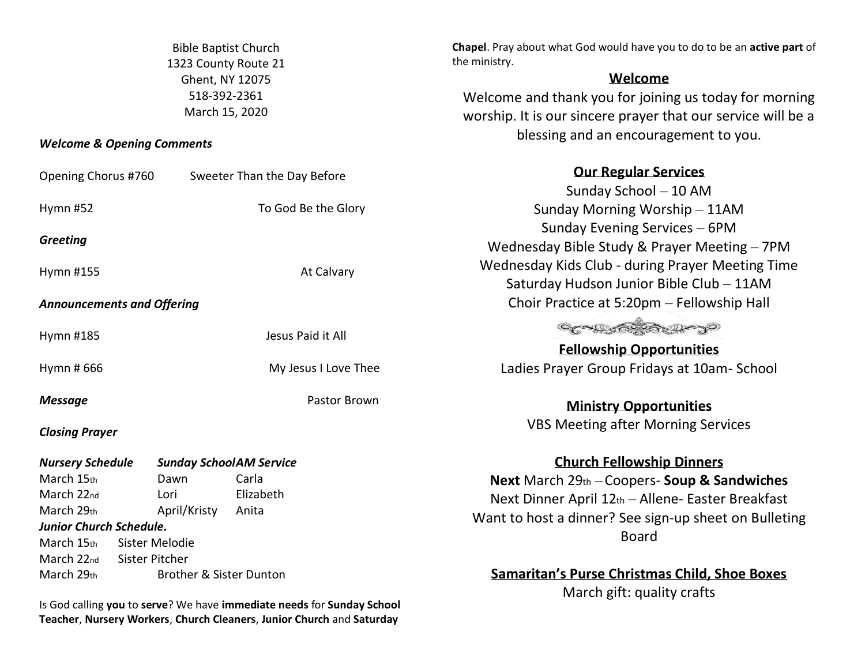| <b>Bible Baptist Church</b> |
|-----------------------------|
| 1323 County Route 21        |
| Ghent, NY 12075             |
| 518-392-2361                |
| March 15, 2020              |

## *Welcome & Opening Comments*

| March 15th                        | Dawn                           | Carla                       |
|-----------------------------------|--------------------------------|-----------------------------|
| <b>Nursery Schedule</b>           | <b>Sunday SchoolAM Service</b> |                             |
| <b>Closing Prayer</b>             |                                |                             |
| Message                           |                                | Pastor Brown                |
| Hymn # 666                        |                                | My Jesus I Love Thee        |
| Hymn #185                         |                                | Jesus Paid it All           |
| <b>Announcements and Offering</b> |                                |                             |
| Hymn #155                         |                                | At Calvary                  |
| <b>Greeting</b>                   |                                |                             |
| Hymn #52                          |                                | To God Be the Glory         |
| Opening Chorus #760               |                                | Sweeter Than the Day Before |

March 22nd Lori Elizabeth March 29th April/Kristy Anita

March 29th Brother & Sister Dunton

*Junior Church Schedule.*  March 15th Sister Melodie March 22nd Sister Pitcher

worship. It is our sincere prayer that our service will be a blessing and an encouragement to you.

the ministry.

## **Our Regular Services**

**Chapel**. Pray about what God would have you to do to be an **active part** of

**Welcome** Welcome and thank you for joining us today for morning

| Sunday School - 10 AM                            |
|--------------------------------------------------|
| Sunday Morning Worship - 11AM                    |
| Sunday Evening Services - 6PM                    |
| Wednesday Bible Study & Prayer Meeting - 7PM     |
| Wednesday Kids Club - during Prayer Meeting Time |
| Saturday Hudson Junior Bible Club - 11AM         |
| Choir Practice at 5:20pm - Fellowship Hall       |
|                                                  |

CONFECTION TO

**Fellowship Opportunities** Ladies Prayer Group Fridays at 10am- School

**Ministry Opportunities** VBS Meeting after Morning Services

## **Church Fellowship Dinners**

**Next** March 29th – Coopers- **Soup & Sandwiches** Next Dinner April 12th – Allene- Easter Breakfast Want to host a dinner? See sign-up sheet on Bulleting Board

**Samaritan's Purse Christmas Child, Shoe Boxes** March gift: quality crafts

Is God calling **you** to **serve**? We have **immediate needs** for **Sunday School Teacher**, **Nursery Workers**, **Church Cleaners**, **Junior Church** and **Saturday**